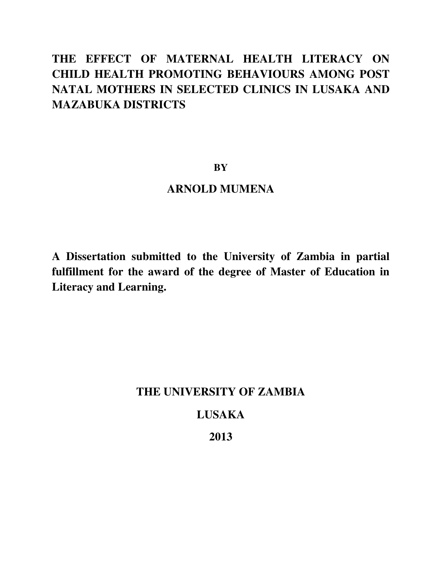# **THE EFFECT OF MATERNAL HEALTH LITERACY ON CHILD HEALTH PROMOTING BEHAVIOURS AMONG POST NATAL MOTHERS IN SELECTED CLINICS IN LUSAKA AND MAZABUKA DISTRICTS**

#### **BY**

# **ARNOLD MUMENA**

**A Dissertation submitted to the University of Zambia in partial fulfillment for the award of the degree of Master of Education in Literacy and Learning.** 

# **THE UNIVERSITY OF ZAMBIA LUSAKA**

#### **2013**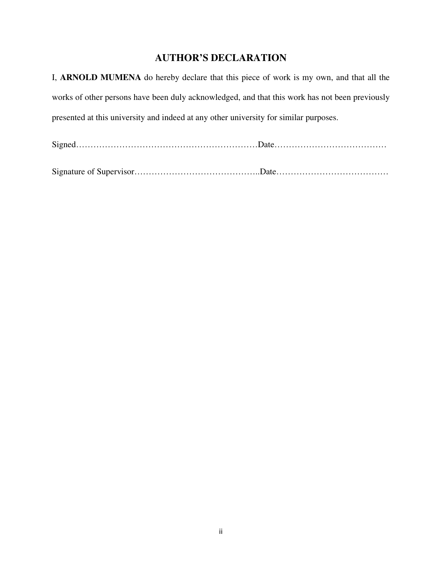#### **AUTHOR'S DECLARATION**

I, **ARNOLD MUMENA** do hereby declare that this piece of work is my own, and that all the works of other persons have been duly acknowledged, and that this work has not been previously presented at this university and indeed at any other university for similar purposes.

Signed………………………………………………………Date…………………………………

Signature of Supervisor……………………………………..Date…………………………………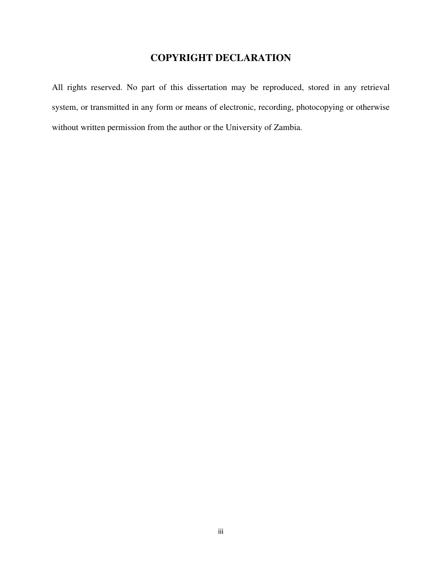## **COPYRIGHT DECLARATION**

All rights reserved. No part of this dissertation may be reproduced, stored in any retrieval system, or transmitted in any form or means of electronic, recording, photocopying or otherwise without written permission from the author or the University of Zambia.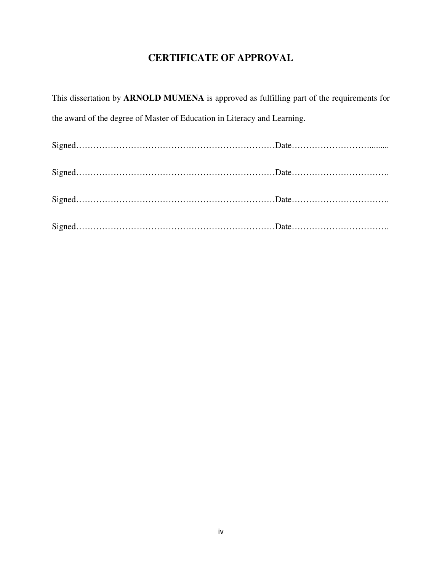# **CERTIFICATE OF APPROVAL**

| This dissertation by <b>ARNOLD MUMENA</b> is approved as fulfilling part of the requirements for |  |
|--------------------------------------------------------------------------------------------------|--|
| the award of the degree of Master of Education in Literacy and Learning.                         |  |
|                                                                                                  |  |
|                                                                                                  |  |
|                                                                                                  |  |
|                                                                                                  |  |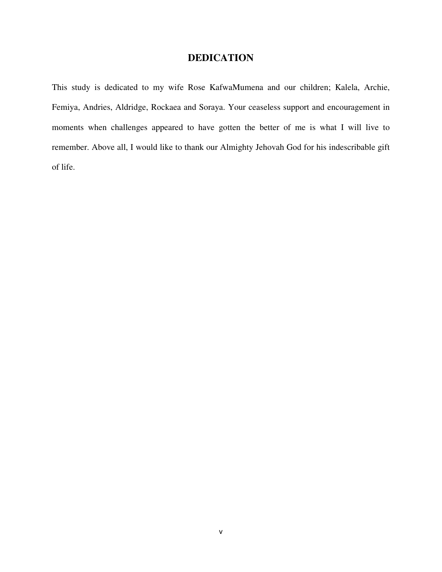### **DEDICATION**

This study is dedicated to my wife Rose KafwaMumena and our children; Kalela, Archie, Femiya, Andries, Aldridge, Rockaea and Soraya. Your ceaseless support and encouragement in moments when challenges appeared to have gotten the better of me is what I will live to remember. Above all, I would like to thank our Almighty Jehovah God for his indescribable gift of life.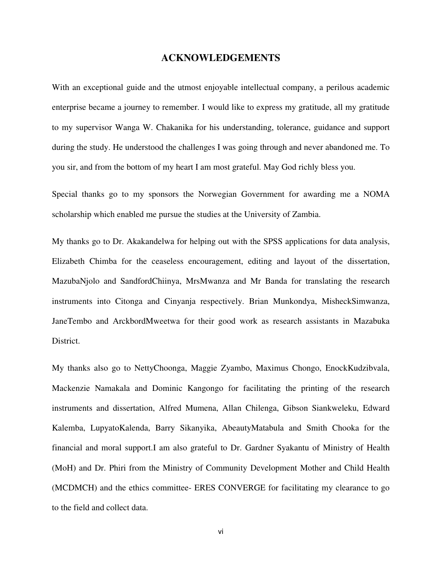#### **ACKNOWLEDGEMENTS**

With an exceptional guide and the utmost enjoyable intellectual company, a perilous academic enterprise became a journey to remember. I would like to express my gratitude, all my gratitude to my supervisor Wanga W. Chakanika for his understanding, tolerance, guidance and support during the study. He understood the challenges I was going through and never abandoned me. To you sir, and from the bottom of my heart I am most grateful. May God richly bless you.

Special thanks go to my sponsors the Norwegian Government for awarding me a NOMA scholarship which enabled me pursue the studies at the University of Zambia.

My thanks go to Dr. Akakandelwa for helping out with the SPSS applications for data analysis, Elizabeth Chimba for the ceaseless encouragement, editing and layout of the dissertation, MazubaNjolo and SandfordChiinya, MrsMwanza and Mr Banda for translating the research instruments into Citonga and Cinyanja respectively. Brian Munkondya, MisheckSimwanza, JaneTembo and ArckbordMweetwa for their good work as research assistants in Mazabuka District.

My thanks also go to NettyChoonga, Maggie Zyambo, Maximus Chongo, EnockKudzibvala, Mackenzie Namakala and Dominic Kangongo for facilitating the printing of the research instruments and dissertation, Alfred Mumena, Allan Chilenga, Gibson Siankweleku, Edward Kalemba, LupyatoKalenda, Barry Sikanyika, AbeautyMatabula and Smith Chooka for the financial and moral support.I am also grateful to Dr. Gardner Syakantu of Ministry of Health (MoH) and Dr. Phiri from the Ministry of Community Development Mother and Child Health (MCDMCH) and the ethics committee- ERES CONVERGE for facilitating my clearance to go to the field and collect data.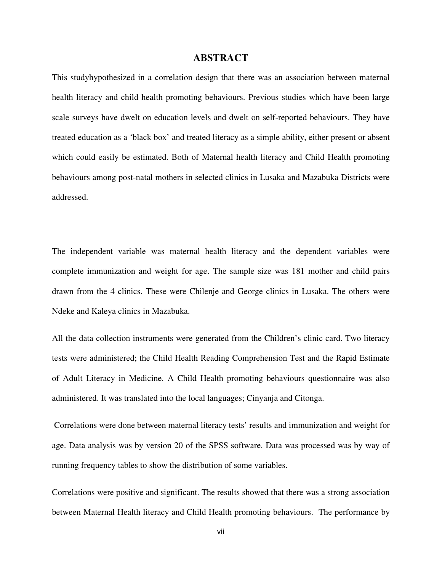#### **ABSTRACT**

This studyhypothesized in a correlation design that there was an association between maternal health literacy and child health promoting behaviours. Previous studies which have been large scale surveys have dwelt on education levels and dwelt on self-reported behaviours. They have treated education as a 'black box' and treated literacy as a simple ability, either present or absent which could easily be estimated. Both of Maternal health literacy and Child Health promoting behaviours among post-natal mothers in selected clinics in Lusaka and Mazabuka Districts were addressed.

The independent variable was maternal health literacy and the dependent variables were complete immunization and weight for age. The sample size was 181 mother and child pairs drawn from the 4 clinics. These were Chilenje and George clinics in Lusaka. The others were Ndeke and Kaleya clinics in Mazabuka.

All the data collection instruments were generated from the Children's clinic card. Two literacy tests were administered; the Child Health Reading Comprehension Test and the Rapid Estimate of Adult Literacy in Medicine. A Child Health promoting behaviours questionnaire was also administered. It was translated into the local languages; Cinyanja and Citonga.

 Correlations were done between maternal literacy tests' results and immunization and weight for age. Data analysis was by version 20 of the SPSS software. Data was processed was by way of running frequency tables to show the distribution of some variables.

Correlations were positive and significant. The results showed that there was a strong association between Maternal Health literacy and Child Health promoting behaviours. The performance by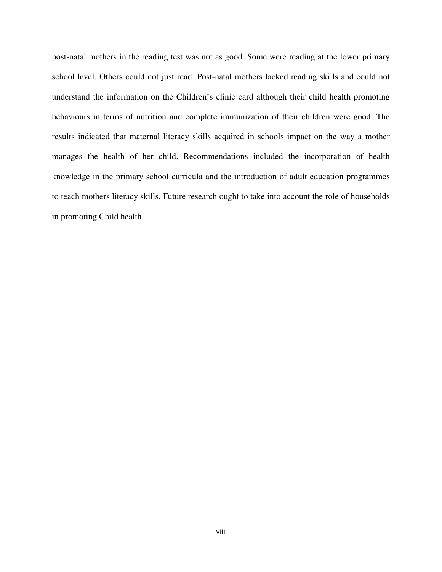post-natal mothers in the reading test was not as good. Some were reading at the lower primary school level. Others could not just read. Post-natal mothers lacked reading skills and could not understand the information on the Children's clinic card although their child health promoting behaviours in terms of nutrition and complete immunization of their children were good. The results indicated that maternal literacy skills acquired in schools impact on the way a mother manages the health of her child. Recommendations included the incorporation of health knowledge in the primary school curricula and the introduction of adult education programmes to teach mothers literacy skills. Future research ought to take into account the role of households in promoting Child health.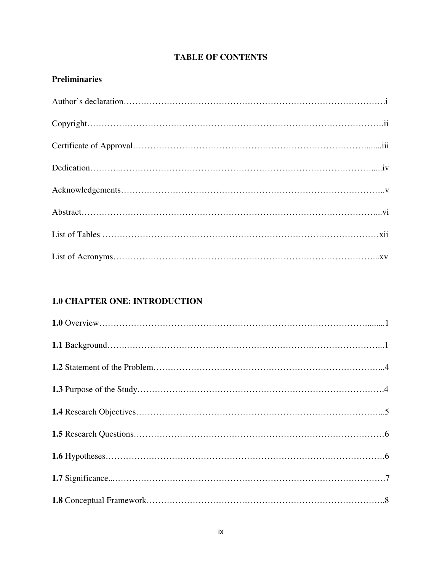### **TABLE OF CONTENTS**

#### **Preliminaries**

#### **1.0 CHAPTER ONE: INTRODUCTION**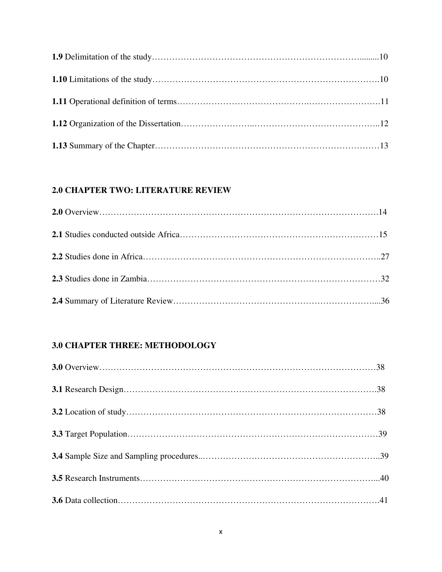#### **2.0 CHAPTER TWO: LITERATURE REVIEW**

### **3.0 CHAPTER THREE: METHODOLOGY**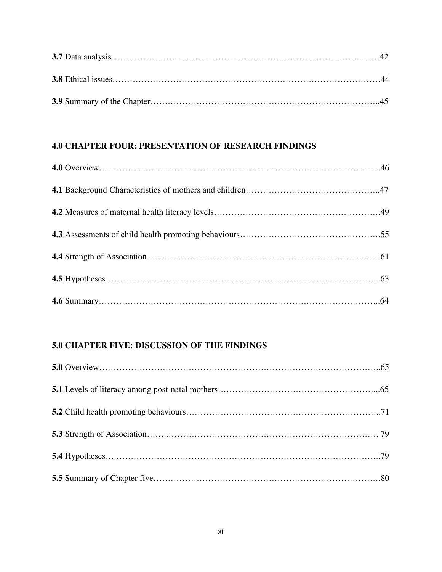#### **4.0 CHAPTER FOUR: PRESENTATION OF RESEARCH FINDINGS**

#### **5.0 CHAPTER FIVE: DISCUSSION OF THE FINDINGS**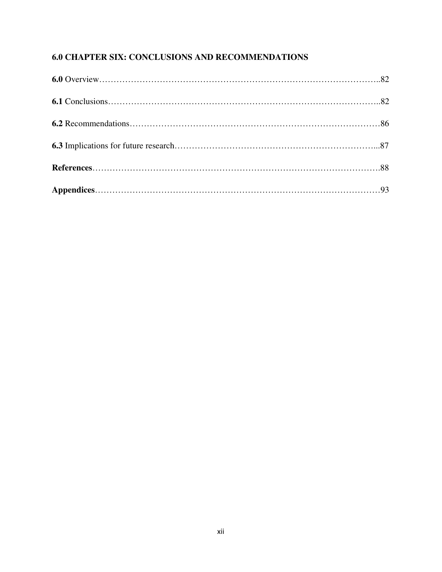### **6.0 CHAPTER SIX: CONCLUSIONS AND RECOMMENDATIONS**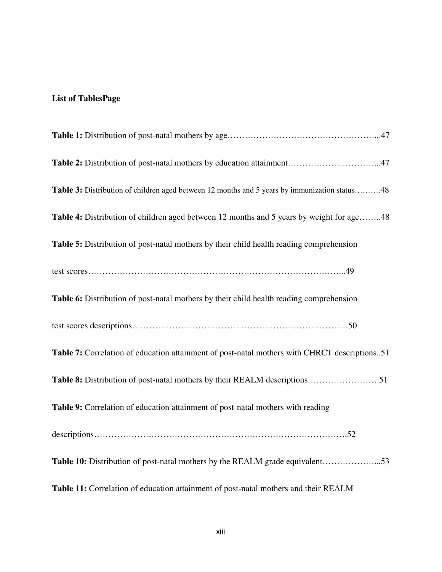#### **List of TablesPage**

| Table 2: Distribution of post-natal mothers by education attainment47                         |
|-----------------------------------------------------------------------------------------------|
| Table 3: Distribution of children aged between 12 months and 5 years by immunization status48 |
| Table 4: Distribution of children aged between 12 months and 5 years by weight for age48      |
| Table 5: Distribution of post-natal mothers by their child health reading comprehension       |
|                                                                                               |
| Table 6: Distribution of post-natal mothers by their child health reading comprehension       |
|                                                                                               |
| Table 7: Correlation of education attainment of post-natal mothers with CHRCT descriptions51  |
| Table 8: Distribution of post-natal mothers by their REALM descriptions51                     |
| Table 9: Correlation of education attainment of post-natal mothers with reading               |
|                                                                                               |
| Table 10: Distribution of post-natal mothers by the REALM grade equivalent53                  |
| Table 11: Correlation of education attainment of post-natal mothers and their REALM           |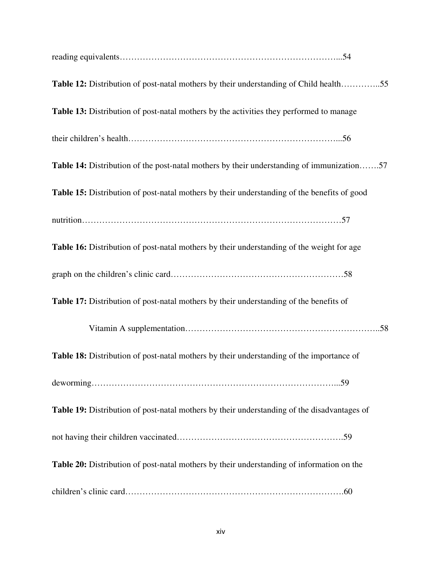| Table 12: Distribution of post-natal mothers by their understanding of Child health55            |
|--------------------------------------------------------------------------------------------------|
| Table 13: Distribution of post-natal mothers by the activities they performed to manage          |
|                                                                                                  |
| <b>Table 14:</b> Distribution of the post-natal mothers by their understanding of immunization57 |
| Table 15: Distribution of post-natal mothers by their understanding of the benefits of good      |
|                                                                                                  |
| Table 16: Distribution of post-natal mothers by their understanding of the weight for age        |
|                                                                                                  |
| Table 17: Distribution of post-natal mothers by their understanding of the benefits of           |
|                                                                                                  |
| Table 18: Distribution of post-natal mothers by their understanding of the importance of         |
|                                                                                                  |
| Table 19: Distribution of post-natal mothers by their understanding of the disadvantages of      |
|                                                                                                  |
| Table 20: Distribution of post-natal mothers by their understanding of information on the        |
|                                                                                                  |